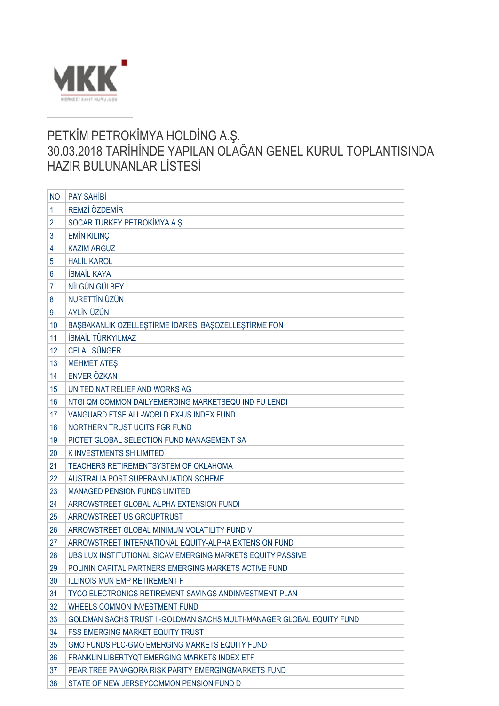

## PETKİM PETROKİMYA HOLDİNG A.Ş. 30.03.2018 TARİHİNDE YAPILAN OLAĞAN GENEL KURUL TOPLANTISINDA HAZIR BULUNANLAR LİSTESİ

| <b>NO</b> | <b>PAY SAHIBI</b>                                                     |
|-----------|-----------------------------------------------------------------------|
| 1         | REMZİ ÖZDEMİR                                                         |
| 2         | SOCAR TURKEY PETROKİMYA A.Ş.                                          |
| 3         | <b>EMİN KILINÇ</b>                                                    |
| 4         | <b>KAZIM ARGUZ</b>                                                    |
| 5         | <b>HALİL KAROL</b>                                                    |
| 6         | <b>İSMAİL KAYA</b>                                                    |
| 7         | NİLGÜN GÜLBEY                                                         |
| 8         | <b>NURETTİN ÜZÜN</b>                                                  |
| 9         | AYLİN ÜZÜN                                                            |
| 10        | BAŞBAKANLIK ÖZELLEŞTİRME İDARESİ BAŞÖZELLEŞTİRME FON                  |
| 11        | İSMAİL TÜRKYILMAZ                                                     |
| 12        | <b>CELAL SÜNGER</b>                                                   |
| 13        | <b>MEHMET ATES</b>                                                    |
| 14        | <b>ENVER ÖZKAN</b>                                                    |
| 15        | UNITED NAT RELIEF AND WORKS AG                                        |
| 16        | NTGI QM COMMON DAILYEMERGING MARKETSEQU IND FU LENDI                  |
| 17        | VANGUARD FTSE ALL-WORLD EX-US INDEX FUND                              |
| 18        | NORTHERN TRUST UCITS FGR FUND                                         |
| 19        | PICTET GLOBAL SELECTION FUND MANAGEMENT SA                            |
| 20        | <b>KINVESTMENTS SH LIMITED</b>                                        |
| 21        | TEACHERS RETIREMENTSYSTEM OF OKLAHOMA                                 |
| 22        | AUSTRALIA POST SUPERANNUATION SCHEME                                  |
| 23        | <b>MANAGED PENSION FUNDS LIMITED</b>                                  |
| 24        | ARROWSTREET GLOBAL ALPHA EXTENSION FUNDI                              |
| 25        | <b>ARROWSTREET US GROUPTRUST</b>                                      |
| 26        | ARROWSTREET GLOBAL MINIMUM VOLATILITY FUND VI                         |
| 27        | ARROWSTREET INTERNATIONAL EQUITY-ALPHA EXTENSION FUND                 |
| 28        | UBS LUX INSTITUTIONAL SICAV EMERGING MARKETS EQUITY PASSIVE           |
| 29        | POLININ CAPITAL PARTNERS EMERGING MARKETS ACTIVE FUND                 |
| 30        | <b>ILLINOIS MUN EMP RETIREMENT F</b>                                  |
| 31        | TYCO ELECTRONICS RETIREMENT SAVINGS ANDINVESTMENT PLAN                |
| 32        | WHEELS COMMON INVESTMENT FUND                                         |
| 33        | GOLDMAN SACHS TRUST II-GOLDMAN SACHS MULTI-MANAGER GLOBAL EQUITY FUND |
| 34        | <b>FSS EMERGING MARKET EQUITY TRUST</b>                               |
| 35        | GMO FUNDS PLC-GMO EMERGING MARKETS EQUITY FUND                        |
| 36        | FRANKLIN LIBERTYQT EMERGING MARKETS INDEX ETF                         |
| 37        | PEAR TREE PANAGORA RISK PARITY EMERGINGMARKETS FUND                   |
| 38        | STATE OF NEW JERSEYCOMMON PENSION FUND D                              |
|           |                                                                       |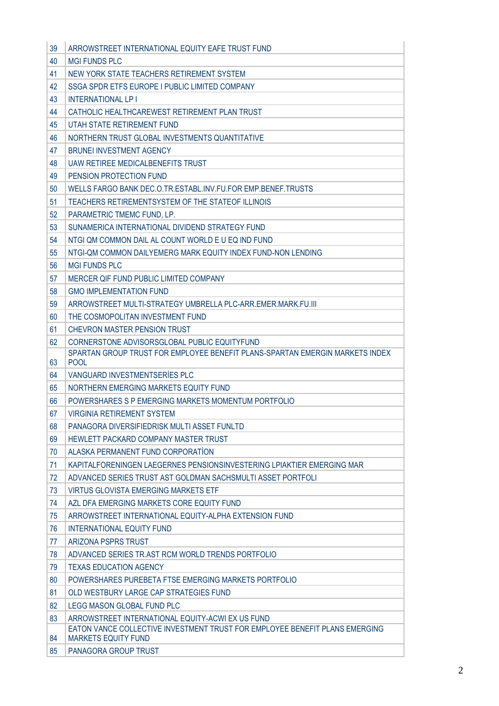| 39 | ARROWSTREET INTERNATIONAL EQUITY EAFE TRUST FUND                                                                                |
|----|---------------------------------------------------------------------------------------------------------------------------------|
| 40 | <b>MGI FUNDS PLC</b>                                                                                                            |
| 41 | NEW YORK STATE TEACHERS RETIREMENT SYSTEM                                                                                       |
| 42 | SSGA SPDR ETFS EUROPE I PUBLIC LIMITED COMPANY                                                                                  |
| 43 | <b>INTERNATIONAL LP I</b>                                                                                                       |
| 44 | CATHOLIC HEALTHCAREWEST RETIREMENT PLAN TRUST                                                                                   |
| 45 | UTAH STATE RETIREMENT FUND                                                                                                      |
| 46 | NORTHERN TRUST GLOBAL INVESTMENTS QUANTITATIVE                                                                                  |
| 47 | <b>BRUNEI INVESTMENT AGENCY</b>                                                                                                 |
| 48 | UAW RETIREE MEDICALBENEFITS TRUST                                                                                               |
| 49 | PENSION PROTECTION FUND                                                                                                         |
| 50 | WELLS FARGO BANK DEC.O.TR.ESTABL.INV.FU.FOR EMP.BENEF.TRUSTS                                                                    |
| 51 | TEACHERS RETIREMENTSYSTEM OF THE STATEOF ILLINOIS                                                                               |
| 52 | PARAMETRIC TMEMC FUND, LP.                                                                                                      |
| 53 | SUNAMERICA INTERNATIONAL DIVIDEND STRATEGY FUND                                                                                 |
| 54 | NTGI QM COMMON DAIL AL COUNT WORLD E U EQ IND FUND                                                                              |
| 55 | NTGI-QM COMMON DAILYEMERG MARK EQUITY INDEX FUND-NON LENDING                                                                    |
| 56 | <b>MGI FUNDS PLC</b>                                                                                                            |
| 57 | MERCER QIF FUND PUBLIC LIMITED COMPANY                                                                                          |
| 58 | <b>GMO IMPLEMENTATION FUND</b>                                                                                                  |
| 59 | ARROWSTREET MULTI-STRATEGY UMBRELLA PLC-ARR.EMER.MARK.FU.III                                                                    |
| 60 | THE COSMOPOLITAN INVESTMENT FUND                                                                                                |
| 61 | CHEVRON MASTER PENSION TRUST                                                                                                    |
| 62 | CORNERSTONE ADVISORSGLOBAL PUBLIC EQUITYFUND                                                                                    |
|    | SPARTAN GROUP TRUST FOR EMPLOYEE BENEFIT PLANS-SPARTAN EMERGIN MARKETS INDEX<br><b>POOL</b>                                     |
|    |                                                                                                                                 |
| 63 |                                                                                                                                 |
| 64 | VANGUARD INVESTMENTSERIES PLC                                                                                                   |
| 65 | NORTHERN EMERGING MARKETS EQUITY FUND                                                                                           |
| 66 | POWERSHARES S P EMERGING MARKETS MOMENTUM PORTFOLIO                                                                             |
| 67 | <b>VIRGINIA RETIREMENT SYSTEM</b>                                                                                               |
| 68 | PANAGORA DIVERSIFIEDRISK MULTI ASSET FUNLTD                                                                                     |
| 69 | HEWLETT PACKARD COMPANY MASTER TRUST                                                                                            |
| 70 | ALASKA PERMANENT FUND CORPORATION                                                                                               |
| 71 | KAPITALFORENINGEN LAEGERNES PENSIONSINVESTERING LPIAKTIER EMERGING MAR                                                          |
| 72 | ADVANCED SERIES TRUST AST GOLDMAN SACHSMULTI ASSET PORTFOLI                                                                     |
| 73 | VIRTUS GLOVISTA EMERGING MARKETS ETF                                                                                            |
| 74 | AZL DFA EMERGING MARKETS CORE EQUITY FUND                                                                                       |
| 75 | ARROWSTREET INTERNATIONAL EQUITY-ALPHA EXTENSION FUND                                                                           |
| 76 | <b>INTERNATIONAL EQUITY FUND</b>                                                                                                |
| 77 | ARIZONA PSPRS TRUST                                                                                                             |
| 78 | ADVANCED SERIES TR.AST RCM WORLD TRENDS PORTFOLIO                                                                               |
| 79 | <b>TEXAS EDUCATION AGENCY</b>                                                                                                   |
| 80 | POWERSHARES PUREBETA FTSE EMERGING MARKETS PORTFOLIO                                                                            |
| 81 | OLD WESTBURY LARGE CAP STRATEGIES FUND                                                                                          |
| 82 | LEGG MASON GLOBAL FUND PLC                                                                                                      |
| 83 | ARROWSTREET INTERNATIONAL EQUITY-ACWI EX US FUND<br>EATON VANCE COLLECTIVE INVESTMENT TRUST FOR EMPLOYEE BENEFIT PLANS EMERGING |
| 84 | <b>MARKETS EQUITY FUND</b>                                                                                                      |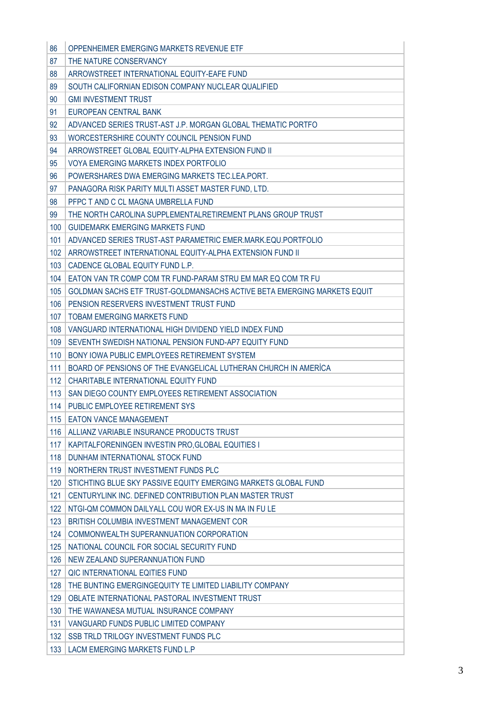| 86  | OPPENHEIMER EMERGING MARKETS REVENUE ETF                                |
|-----|-------------------------------------------------------------------------|
| 87  | THE NATURE CONSERVANCY                                                  |
| 88  | ARROWSTREET INTERNATIONAL EQUITY-EAFE FUND                              |
| 89  | SOUTH CALIFORNIAN EDISON COMPANY NUCLEAR QUALIFIED                      |
| 90  | <b>GMI INVESTMENT TRUST</b>                                             |
| 91  | FUROPEAN CENTRAL BANK                                                   |
| 92  | ADVANCED SERIES TRUST-AST J.P. MORGAN GLOBAL THEMATIC PORTFO            |
| 93  | WORCESTERSHIRE COUNTY COUNCIL PENSION FUND                              |
| 94  | ARROWSTREET GLOBAL EQUITY-ALPHA EXTENSION FUND II                       |
| 95  | VOYA EMERGING MARKETS INDEX PORTFOLIO                                   |
| 96  | POWERSHARES DWA EMERGING MARKETS TEC.LEA.PORT.                          |
| 97  | PANAGORA RISK PARITY MULTI ASSET MASTER FUND, LTD.                      |
| 98  | PFPC T AND C CL MAGNA UMBRELLA FUND                                     |
| 99  | THE NORTH CAROLINA SUPPLEMENTALRETIREMENT PLANS GROUP TRUST             |
| 100 | GUIDEMARK EMERGING MARKETS FUND                                         |
| 101 | ADVANCED SERIES TRUST-AST PARAMETRIC EMER.MARK.EQU.PORTFOLIO            |
| 102 | ARROWSTREET INTERNATIONAL EQUITY-ALPHA EXTENSION FUND II                |
| 103 | CADENCE GLOBAL EQUITY FUND L.P.                                         |
| 104 | EATON VAN TR COMP COM TR FUND-PARAM STRU EM MAR EQ COM TR FU            |
| 105 | GOLDMAN SACHS ETF TRUST-GOLDMANSACHS ACTIVE BETA EMERGING MARKETS EQUIT |
| 106 | PENSION RESERVERS INVESTMENT TRUST FUND                                 |
| 107 | <b>TOBAM EMERGING MARKETS FUND</b>                                      |
| 108 | VANGUARD INTERNATIONAL HIGH DIVIDEND YIELD INDEX FUND                   |
| 109 | SEVENTH SWEDISH NATIONAL PENSION FUND-AP7 EQUITY FUND                   |
| 110 | BONY IOWA PUBLIC EMPLOYEES RETIREMENT SYSTEM                            |
| 111 | BOARD OF PENSIONS OF THE EVANGELICAL LUTHERAN CHURCH IN AMERICA         |
| 112 | CHARITABLE INTERNATIONAL EQUITY FUND                                    |
| 113 | SAN DIEGO COUNTY EMPLOYEES RETIREMENT ASSOCIATION                       |
| 114 | PUBLIC EMPLOYEE RETIREMENT SYS                                          |
| 115 | <b>EATON VANCE MANAGEMENT</b>                                           |
| 116 | ALLIANZ VARIABLE INSURANCE PRODUCTS TRUST                               |
| 117 | KAPITALFORENINGEN INVESTIN PRO, GLOBAL EQUITIES I                       |
| 118 | DUNHAM INTERNATIONAL STOCK FUND                                         |
| 119 | NORTHERN TRUST INVESTMENT FUNDS PLC                                     |
| 120 | STICHTING BLUE SKY PASSIVE EQUITY EMERGING MARKETS GLOBAL FUND          |
| 121 | CENTURYLINK INC. DEFINED CONTRIBUTION PLAN MASTER TRUST                 |
| 122 | NTGI-QM COMMON DAILYALL COU WOR EX-US IN MA IN FU LE                    |
| 123 | BRITISH COLUMBIA INVESTMENT MANAGEMENT COR                              |
| 124 | COMMONWEALTH SUPERANNUATION CORPORATION                                 |
| 125 | NATIONAL COUNCIL FOR SOCIAL SECURITY FUND                               |
| 126 | NEW ZEALAND SUPERANNUATION FUND                                         |
| 127 | QIC INTERNATIONAL EQITIES FUND                                          |
| 128 | THE BUNTING EMERGINGEQUITY TE LIMITED LIABILITY COMPANY                 |
| 129 | OBLATE INTERNATIONAL PASTORAL INVESTMENT TRUST                          |
| 130 | THE WAWANESA MUTUAL INSURANCE COMPANY                                   |
| 131 | VANGUARD FUNDS PUBLIC LIMITED COMPANY                                   |
| 132 | SSB TRLD TRILOGY INVESTMENT FUNDS PLC                                   |
| 133 | LACM EMERGING MARKETS FUND L.P                                          |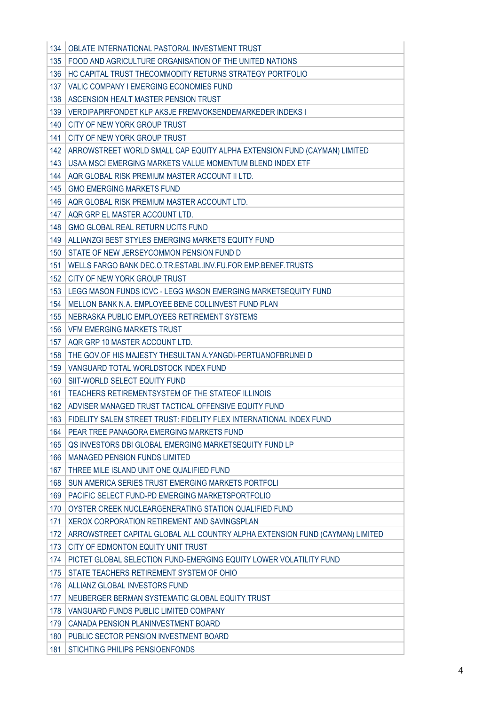| 134 | OBLATE INTERNATIONAL PASTORAL INVESTMENT TRUST                               |
|-----|------------------------------------------------------------------------------|
| 135 | FOOD AND AGRICULTURE ORGANISATION OF THE UNITED NATIONS                      |
| 136 | HC CAPITAL TRUST THECOMMODITY RETURNS STRATEGY PORTFOLIO                     |
| 137 | VALIC COMPANY I EMERGING ECONOMIES FUND                                      |
| 138 | ASCENSION HEALT MASTER PENSION TRUST                                         |
| 139 | VERDIPAPIRFONDET KLP AKSJE FREMVOKSENDEMARKEDER INDEKS I                     |
| 140 | CITY OF NEW YORK GROUP TRUST                                                 |
| 141 | CITY OF NEW YORK GROUP TRUST                                                 |
| 142 | ARROWSTREET WORLD SMALL CAP EQUITY ALPHA EXTENSION FUND (CAYMAN) LIMITED     |
| 143 | USAA MSCI EMERGING MARKETS VALUE MOMENTUM BLEND INDEX ETF                    |
| 144 | AQR GLOBAL RISK PREMIUM MASTER ACCOUNT II LTD.                               |
| 145 | <b>GMO EMERGING MARKETS FUND</b>                                             |
| 146 | AQR GLOBAL RISK PREMIUM MASTER ACCOUNT LTD.                                  |
| 147 | AQR GRP EL MASTER ACCOUNT LTD.                                               |
| 148 | <b>GMO GLOBAL REAL RETURN UCITS FUND</b>                                     |
| 149 | ALLIANZGI BEST STYLES EMERGING MARKETS EQUITY FUND                           |
| 150 | STATE OF NEW JERSEYCOMMON PENSION FUND D                                     |
| 151 | WELLS FARGO BANK DEC.O.TR.ESTABL.INV.FU.FOR EMP.BENEF.TRUSTS                 |
| 152 | CITY OF NEW YORK GROUP TRUST                                                 |
| 153 | LEGG MASON FUNDS ICVC - LEGG MASON EMERGING MARKETSEQUITY FUND               |
| 154 | MELLON BANK N.A. EMPLOYEE BENE COLLINVEST FUND PLAN                          |
| 155 | NEBRASKA PUBLIC EMPLOYEES RETIREMENT SYSTEMS                                 |
| 156 | <b>VFM EMERGING MARKETS TRUST</b>                                            |
| 157 | AQR GRP 10 MASTER ACCOUNT LTD.                                               |
| 158 | THE GOV.OF HIS MAJESTY THESULTAN A. YANGDI-PERTUANOFBRUNEI D                 |
| 159 | VANGUARD TOTAL WORLDSTOCK INDEX FUND                                         |
| 160 | SIIT-WORLD SELECT EQUITY FUND                                                |
| 161 | TEACHERS RETIREMENTSYSTEM OF THE STATEOF ILLINOIS                            |
| 162 | ADVISER MANAGED TRUST TACTICAL OFFENSIVE EQUITY FUND                         |
| 163 | FIDELITY SALEM STREET TRUST: FIDELITY FLEX INTERNATIONAL INDEX FUND          |
| 164 | PEAR TREE PANAGORA EMERGING MARKETS FUND                                     |
| 165 | QS INVESTORS DBI GLOBAL EMERGING MARKETSEQUITY FUND LP                       |
| 166 | <b>MANAGED PENSION FUNDS LIMITED</b>                                         |
| 167 | THREE MILE ISLAND UNIT ONE QUALIFIED FUND                                    |
| 168 | SUN AMERICA SERIES TRUST EMERGING MARKETS PORTFOLI                           |
| 169 | PACIFIC SELECT FUND-PD EMERGING MARKETSPORTFOLIO                             |
| 170 | OYSTER CREEK NUCLEARGENERATING STATION QUALIFIED FUND                        |
| 171 | XEROX CORPORATION RETIREMENT AND SAVINGSPLAN                                 |
| 172 | ARROWSTREET CAPITAL GLOBAL ALL COUNTRY ALPHA EXTENSION FUND (CAYMAN) LIMITED |
| 173 | CITY OF EDMONTON EQUITY UNIT TRUST                                           |
| 174 | PICTET GLOBAL SELECTION FUND-EMERGING EQUITY LOWER VOLATILITY FUND           |
| 175 | STATE TEACHERS RETIREMENT SYSTEM OF OHIO                                     |
| 176 | ALLIANZ GLOBAL INVESTORS FUND                                                |
| 177 | NEUBERGER BERMAN SYSTEMATIC GLOBAL EQUITY TRUST                              |
| 178 | VANGUARD FUNDS PUBLIC LIMITED COMPANY                                        |
| 179 | CANADA PENSION PLANINVESTMENT BOARD                                          |
| 180 | PUBLIC SECTOR PENSION INVESTMENT BOARD                                       |
| 181 | STICHTING PHILIPS PENSIOENFONDS                                              |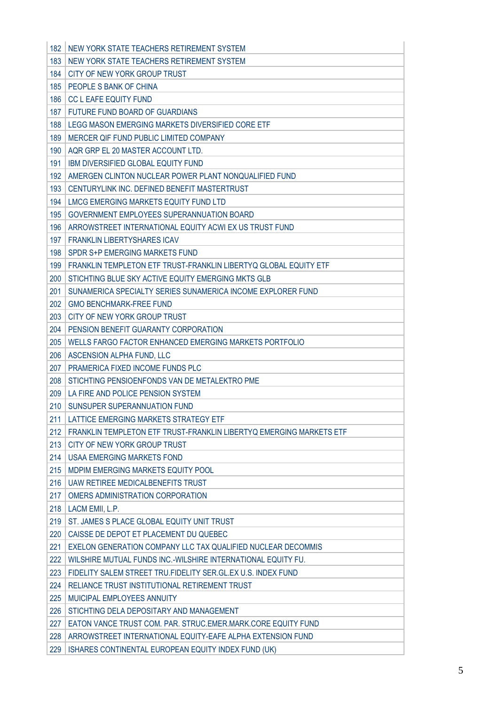| 182 | NEW YORK STATE TEACHERS RETIREMENT SYSTEM                           |
|-----|---------------------------------------------------------------------|
| 183 | NEW YORK STATE TEACHERS RETIREMENT SYSTEM                           |
| 184 | CITY OF NEW YORK GROUP TRUST                                        |
| 185 | PEOPLE S BANK OF CHINA                                              |
| 186 | <b>CC L EAFE EQUITY FUND</b>                                        |
| 187 | FUTURE FUND BOARD OF GUARDIANS                                      |
| 188 | LEGG MASON EMERGING MARKETS DIVERSIFIED CORE ETF                    |
| 189 | MERCER QIF FUND PUBLIC LIMITED COMPANY                              |
| 190 | AQR GRP EL 20 MASTER ACCOUNT LTD.                                   |
| 191 | <b>IBM DIVERSIFIED GLOBAL EQUITY FUND</b>                           |
| 192 | AMERGEN CLINTON NUCLEAR POWER PLANT NONQUALIFIED FUND               |
| 193 | CENTURYLINK INC. DEFINED BENEFIT MASTERTRUST                        |
| 194 | LMCG EMERGING MARKETS EQUITY FUND LTD                               |
| 195 | GOVERNMENT EMPLOYEES SUPERANNUATION BOARD                           |
| 196 | ARROWSTREET INTERNATIONAL EQUITY ACWI EX US TRUST FUND              |
| 197 | <b>FRANKLIN LIBERTYSHARES ICAV</b>                                  |
| 198 | SPDR S+P EMERGING MARKETS FUND                                      |
| 199 | FRANKLIN TEMPLETON ETF TRUST-FRANKLIN LIBERTYQ GLOBAL EQUITY ETF    |
| 200 | STICHTING BLUE SKY ACTIVE EQUITY EMERGING MKTS GLB                  |
| 201 | SUNAMERICA SPECIALTY SERIES SUNAMERICA INCOME EXPLORER FUND         |
| 202 | <b>GMO BENCHMARK-FREE FUND</b>                                      |
| 203 | CITY OF NEW YORK GROUP TRUST                                        |
| 204 | PENSION BENEFIT GUARANTY CORPORATION                                |
| 205 | WELLS FARGO FACTOR ENHANCED EMERGING MARKETS PORTFOLIO              |
| 206 | ASCENSION ALPHA FUND, LLC                                           |
| 207 | PRAMERICA FIXED INCOME FUNDS PLC                                    |
| 208 | STICHTING PENSIOENFONDS VAN DE METALEKTRO PME                       |
| 209 | LA FIRE AND POLICE PENSION SYSTEM                                   |
| 210 | SUNSUPER SUPERANNUATION FUND                                        |
| 211 | LATTICE EMERGING MARKETS STRATEGY ETF                               |
| 212 | FRANKLIN TEMPLETON ETF TRUST-FRANKLIN LIBERTYQ EMERGING MARKETS ETF |
| 213 | CITY OF NEW YORK GROUP TRUST                                        |
| 214 | <b>USAA EMERGING MARKETS FOND</b>                                   |
| 215 | MDPIM EMERGING MARKETS EQUITY POOL                                  |
| 216 | <b>UAW RETIREE MEDICALBENEFITS TRUST</b>                            |
| 217 | OMERS ADMINISTRATION CORPORATION                                    |
| 218 | LACM EMII, L.P.                                                     |
| 219 | ST. JAMES S PLACE GLOBAL EQUITY UNIT TRUST                          |
| 220 | CAISSE DE DEPOT ET PLACEMENT DU QUEBEC                              |
| 221 | EXELON GENERATION COMPANY LLC TAX QUALIFIED NUCLEAR DECOMMIS        |
| 222 | WILSHIRE MUTUAL FUNDS INC.-WILSHIRE INTERNATIONAL EQUITY FU.        |
| 223 | FIDELITY SALEM STREET TRU. FIDELITY SER. GL. EX U.S. INDEX FUND     |
| 224 | RELIANCE TRUST INSTITUTIONAL RETIREMENT TRUST                       |
| 225 | MUICIPAL EMPLOYEES ANNUITY                                          |
| 226 | STICHTING DELA DEPOSITARY AND MANAGEMENT                            |
| 227 | EATON VANCE TRUST COM. PAR. STRUC.EMER.MARK.CORE EQUITY FUND        |
| 228 | ARROWSTREET INTERNATIONAL EQUITY-EAFE ALPHA EXTENSION FUND          |
| 229 | ISHARES CONTINENTAL EUROPEAN EQUITY INDEX FUND (UK)                 |
|     |                                                                     |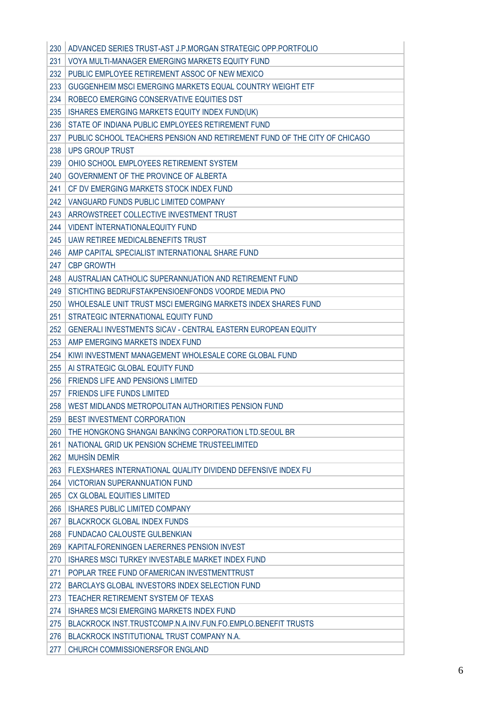| 230 | ADVANCED SERIES TRUST-AST J.P.MORGAN STRATEGIC OPP.PORTFOLIO              |
|-----|---------------------------------------------------------------------------|
| 231 | VOYA MULTI-MANAGER EMERGING MARKETS EQUITY FUND                           |
| 232 | PUBLIC EMPLOYEE RETIREMENT ASSOC OF NEW MEXICO                            |
| 233 | GUGGENHEIM MSCI EMERGING MARKETS EQUAL COUNTRY WEIGHT ETF                 |
| 234 | ROBECO EMERGING CONSERVATIVE EQUITIES DST                                 |
| 235 | ISHARES EMERGING MARKETS EQUITY INDEX FUND(UK)                            |
| 236 | STATE OF INDIANA PUBLIC EMPLOYEES RETIREMENT FUND                         |
| 237 | PUBLIC SCHOOL TEACHERS PENSION AND RETIREMENT FUND OF THE CITY OF CHICAGO |
| 238 | <b>UPS GROUP TRUST</b>                                                    |
| 239 | OHIO SCHOOL EMPLOYEES RETIREMENT SYSTEM                                   |
| 240 | GOVERNMENT OF THE PROVINCE OF ALBERTA                                     |
| 241 | CF DV EMERGING MARKETS STOCK INDEX FUND                                   |
| 242 | VANGUARD FUNDS PUBLIC LIMITED COMPANY                                     |
| 243 | ARROWSTREET COLLECTIVE INVESTMENT TRUST                                   |
| 244 | <b>VIDENT INTERNATIONALEQUITY FUND</b>                                    |
| 245 | <b>UAW RETIREE MEDICALBENEFITS TRUST</b>                                  |
| 246 | AMP CAPITAL SPECIALIST INTERNATIONAL SHARE FUND                           |
| 247 | <b>CBP GROWTH</b>                                                         |
| 248 | AUSTRALIAN CATHOLIC SUPERANNUATION AND RETIREMENT FUND                    |
| 249 | STICHTING BEDRIJFSTAKPENSIOENFONDS VOORDE MEDIA PNO                       |
| 250 | WHOLESALE UNIT TRUST MSCI EMERGING MARKETS INDEX SHARES FUND              |
| 251 | STRATEGIC INTERNATIONAL EQUITY FUND                                       |
| 252 | GENERALI INVESTMENTS SICAV - CENTRAL EASTERN EUROPEAN EQUITY              |
| 253 | AMP EMERGING MARKETS INDEX FUND                                           |
| 254 | KIWI INVESTMENT MANAGEMENT WHOLESALE CORE GLOBAL FUND                     |
| 255 | AI STRATEGIC GLOBAL EQUITY FUND                                           |
| 256 | <b>FRIENDS LIFE AND PENSIONS LIMITED</b>                                  |
| 257 | <b>FRIENDS LIFE FUNDS LIMITED</b>                                         |
| 258 | WEST MIDLANDS METROPOLITAN AUTHORITIES PENSION FUND                       |
| 259 | BEST INVESTMENT CORPORATION                                               |
| 260 | THE HONGKONG SHANGAI BANKING CORPORATION LTD. SEOUL BR                    |
| 261 | NATIONAL GRID UK PENSION SCHEME TRUSTEELIMITED                            |
| 262 | <b>MUHSİN DEMİR</b>                                                       |
| 263 | FLEXSHARES INTERNATIONAL QUALITY DIVIDEND DEFENSIVE INDEX FU              |
| 264 | <b>VICTORIAN SUPERANNUATION FUND</b>                                      |
| 265 | <b>CX GLOBAL EQUITIES LIMITED</b>                                         |
| 266 | <b>ISHARES PUBLIC LIMITED COMPANY</b>                                     |
| 267 | <b>BLACKROCK GLOBAL INDEX FUNDS</b>                                       |
| 268 | <b>FUNDACAO CALOUSTE GULBENKIAN</b>                                       |
| 269 | KAPITALFORENINGEN LAERERNES PENSION INVEST                                |
| 270 | ISHARES MSCI TURKEY INVESTABLE MARKET INDEX FUND                          |
| 271 | POPLAR TREE FUND OF AMERICAN INVESTMENTTRUST                              |
| 272 | BARCLAYS GLOBAL INVESTORS INDEX SELECTION FUND                            |
| 273 | TEACHER RETIREMENT SYSTEM OF TEXAS                                        |
| 274 | <b>ISHARES MCSI EMERGING MARKETS INDEX FUND</b>                           |
| 275 | BLACKROCK INST. TRUSTCOMP.N.A.INV.FUN.FO.EMPLO.BENEFIT TRUSTS             |
| 276 | BLACKROCK INSTITUTIONAL TRUST COMPANY N.A.                                |
| 277 | CHURCH COMMISSIONERSFOR ENGLAND                                           |
|     |                                                                           |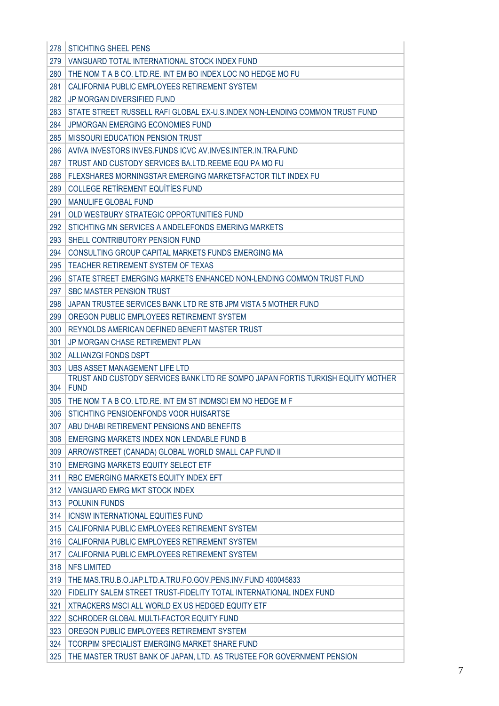| 278 | <b>STICHTING SHEEL PENS</b>                                                                    |
|-----|------------------------------------------------------------------------------------------------|
| 279 | VANGUARD TOTAL INTERNATIONAL STOCK INDEX FUND                                                  |
| 280 | THE NOM T A B CO. LTD.RE. INT EM BO INDEX LOC NO HEDGE MO FU                                   |
| 281 | CALIFORNIA PUBLIC EMPLOYEES RETIREMENT SYSTEM                                                  |
| 282 | <b>JP MORGAN DIVERSIFIED FUND</b>                                                              |
| 283 | STATE STREET RUSSELL RAFI GLOBAL EX-U.S.INDEX NON-LENDING COMMON TRUST FUND                    |
| 284 | JPMORGAN EMERGING ECONOMIES FUND                                                               |
| 285 | <b>MISSOURI EDUCATION PENSION TRUST</b>                                                        |
| 286 | AVIVA INVESTORS INVES. FUNDS ICVC AV. INVES. INTER. IN. TRA. FUND                              |
| 287 | TRUST AND CUSTODY SERVICES BA.LTD.REEME EQU PA MO FU                                           |
| 288 | FLEXSHARES MORNINGSTAR EMERGING MARKETSFACTOR TILT INDEX FU                                    |
| 289 | <b>COLLEGE RETIREMENT EQUITIES FUND</b>                                                        |
| 290 | <b>MANULIFE GLOBAL FUND</b>                                                                    |
| 291 | OLD WESTBURY STRATEGIC OPPORTUNITIES FUND                                                      |
| 292 | STICHTING MN SERVICES A ANDELEFONDS EMERING MARKETS                                            |
| 293 | SHELL CONTRIBUTORY PENSION FUND                                                                |
| 294 | CONSULTING GROUP CAPITAL MARKETS FUNDS EMERGING MA                                             |
| 295 | TEACHER RETIREMENT SYSTEM OF TEXAS                                                             |
| 296 | STATE STREET EMERGING MARKETS ENHANCED NON-LENDING COMMON TRUST FUND                           |
| 297 | <b>SBC MASTER PENSION TRUST</b>                                                                |
| 298 | JAPAN TRUSTEE SERVICES BANK LTD RE STB JPM VISTA 5 MOTHER FUND                                 |
| 299 | OREGON PUBLIC EMPLOYEES RETIREMENT SYSTEM                                                      |
| 300 | REYNOLDS AMERICAN DEFINED BENEFIT MASTER TRUST                                                 |
| 301 | JP MORGAN CHASE RETIREMENT PLAN                                                                |
| 302 | ALLIANZGI FONDS DSPT                                                                           |
|     |                                                                                                |
| 303 | UBS ASSET MANAGEMENT LIFE LTD                                                                  |
| 304 | TRUST AND CUSTODY SERVICES BANK LTD RE SOMPO JAPAN FORTIS TURKISH EQUITY MOTHER<br><b>FUND</b> |
| 305 | THE NOM T A B CO. LTD.RE. INT EM ST INDMSCI EM NO HEDGE M F                                    |
| 306 | STICHTING PENSIOENFONDS VOOR HUISARTSE                                                         |
| 307 | ABU DHABI RETIREMENT PENSIONS AND BENEFITS                                                     |
| 308 | EMERGING MARKETS INDEX NON LENDABLE FUND B                                                     |
| 309 | ARROWSTREET (CANADA) GLOBAL WORLD SMALL CAP FUND II                                            |
| 310 | <b>EMERGING MARKETS EQUITY SELECT ETF</b>                                                      |
| 311 | RBC EMERGING MARKETS EQUITY INDEX EFT                                                          |
| 312 | VANGUARD EMRG MKT STOCK INDEX                                                                  |
| 313 | <b>POLUNIN FUNDS</b>                                                                           |
| 314 | <b>ICNSW INTERNATIONAL EQUITIES FUND</b>                                                       |
| 315 | CALIFORNIA PUBLIC EMPLOYEES RETIREMENT SYSTEM                                                  |
| 316 | CALIFORNIA PUBLIC EMPLOYEES RETIREMENT SYSTEM                                                  |
| 317 | CALIFORNIA PUBLIC EMPLOYEES RETIREMENT SYSTEM                                                  |
| 318 | <b>NFS LIMITED</b>                                                                             |
| 319 | THE MAS.TRU.B.O.JAP.LTD.A.TRU.FO.GOV.PENS.INV.FUND 400045833                                   |
| 320 | FIDELITY SALEM STREET TRUST-FIDELITY TOTAL INTERNATIONAL INDEX FUND                            |
| 321 | XTRACKERS MSCI ALL WORLD EX US HEDGED EQUITY ETF                                               |
| 322 | SCHRODER GLOBAL MULTI-FACTOR EQUITY FUND                                                       |
| 323 | OREGON PUBLIC EMPLOYEES RETIREMENT SYSTEM                                                      |
| 324 | TCORPIM SPECIALIST EMERGING MARKET SHARE FUND                                                  |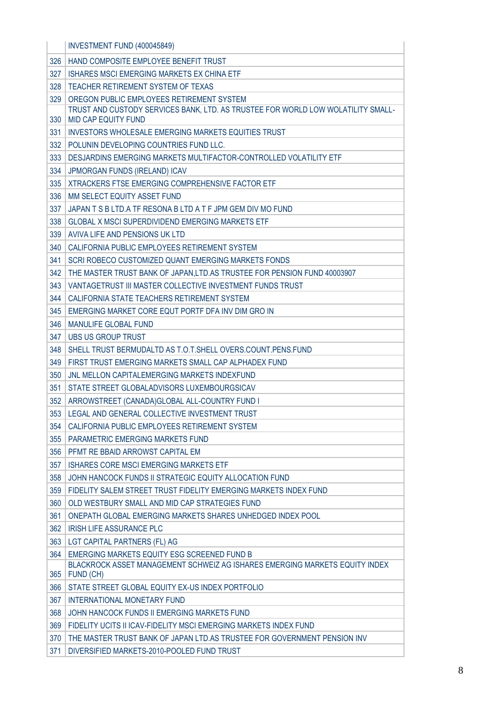|     | INVESTMENT FUND (400045849)                                                                             |
|-----|---------------------------------------------------------------------------------------------------------|
| 326 | HAND COMPOSITE EMPLOYEE BENEFIT TRUST                                                                   |
| 327 | ISHARES MSCI EMERGING MARKETS EX CHINA ETF                                                              |
| 328 | TEACHER RETIREMENT SYSTEM OF TEXAS                                                                      |
| 329 | OREGON PUBLIC EMPLOYEES RETIREMENT SYSTEM                                                               |
| 330 | TRUST AND CUSTODY SERVICES BANK, LTD. AS TRUSTEE FOR WORLD LOW WOLATILITY SMALL-<br>MID CAP EQUITY FUND |
| 331 | <b>INVESTORS WHOLESALE EMERGING MARKETS EQUITIES TRUST</b>                                              |
| 332 | POLUNIN DEVELOPING COUNTRIES FUND LLC.                                                                  |
| 333 | DESJARDINS EMERGING MARKETS MULTIFACTOR-CONTROLLED VOLATILITY ETF                                       |
| 334 | <b>JPMORGAN FUNDS (IRELAND) ICAV</b>                                                                    |
| 335 | XTRACKERS FTSE EMERGING COMPREHENSIVE FACTOR ETF                                                        |
| 336 | MM SELECT EQUITY ASSET FUND                                                                             |
| 337 | JAPAN T S B LTD. A TF RESONA B LTD A T F JPM GEM DIV MO FUND                                            |
| 338 | <b>GLOBAL X MSCI SUPERDIVIDEND EMERGING MARKETS ETF</b>                                                 |
| 339 | AVIVA LIFE AND PENSIONS UK LTD                                                                          |
| 340 | CALIFORNIA PUBLIC EMPLOYEES RETIREMENT SYSTEM                                                           |
| 341 | SCRI ROBECO CUSTOMIZED QUANT EMERGING MARKETS FONDS                                                     |
| 342 | THE MASTER TRUST BANK OF JAPAN, LTD. AS TRUSTEE FOR PENSION FUND 40003907                               |
| 343 | VANTAGETRUST III MASTER COLLECTIVE INVESTMENT FUNDS TRUST                                               |
| 344 | CALIFORNIA STATE TEACHERS RETIREMENT SYSTEM                                                             |
| 345 | EMERGING MARKET CORE EQUT PORTF DFA INV DIM GRO IN                                                      |
| 346 | <b>MANULIFE GLOBAL FUND</b>                                                                             |
| 347 | <b>UBS US GROUP TRUST</b>                                                                               |
| 348 | SHELL TRUST BERMUDALTD AS T.O.T.SHELL OVERS.COUNT.PENS.FUND                                             |
| 349 | FIRST TRUST EMERGING MARKETS SMALL CAP ALPHADEX FUND                                                    |
| 350 | JNL MELLON CAPITALEMERGING MARKETS INDEXFUND                                                            |
| 351 | STATE STREET GLOBALADVISORS LUXEMBOURGSICAV                                                             |
| 352 | ARROWSTREET (CANADA) GLOBAL ALL-COUNTRY FUND I                                                          |
|     | 353   LEGAL AND GENERAL COLLECTIVE INVESTMENT TRUST                                                     |
| 354 | CALIFORNIA PUBLIC EMPLOYEES RETIREMENT SYSTEM                                                           |
| 355 | PARAMETRIC EMERGING MARKETS FUND                                                                        |
| 356 | PEMT RE BBAID ARROWST CAPITAL EM                                                                        |
| 357 | ISHARES CORE MSCI EMERGING MARKETS ETF                                                                  |
| 358 | JOHN HANCOCK FUNDS II STRATEGIC EQUITY ALLOCATION FUND                                                  |
| 359 | FIDELITY SALEM STREET TRUST FIDELITY EMERGING MARKETS INDEX FUND                                        |
| 360 | OLD WESTBURY SMALL AND MID CAP STRATEGIES FUND                                                          |
| 361 | ONEPATH GLOBAL EMERGING MARKETS SHARES UNHEDGED INDEX POOL                                              |
| 362 | <b>IRISH LIFE ASSURANCE PLC</b>                                                                         |
| 363 | LGT CAPITAL PARTNERS (FL) AG                                                                            |
| 364 | EMERGING MARKETS EQUITY ESG SCREENED FUND B                                                             |
| 365 | BLACKROCK ASSET MANAGEMENT SCHWEIZ AG ISHARES EMERGING MARKETS EQUITY INDEX<br>FUND (CH)                |
| 366 | STATE STREET GLOBAL EQUITY EX-US INDEX PORTFOLIO                                                        |
| 367 | INTERNATIONAL MONETARY FUND                                                                             |
| 368 | JOHN HANCOCK FUNDS II EMERGING MARKETS FUND                                                             |
| 369 | FIDELITY UCITS II ICAV-FIDELITY MSCI EMERGING MARKETS INDEX FUND                                        |
| 370 | THE MASTER TRUST BANK OF JAPAN LTD.AS TRUSTEE FOR GOVERNMENT PENSION INV                                |
| 371 | DIVERSIFIED MARKETS-2010-POOLED FUND TRUST                                                              |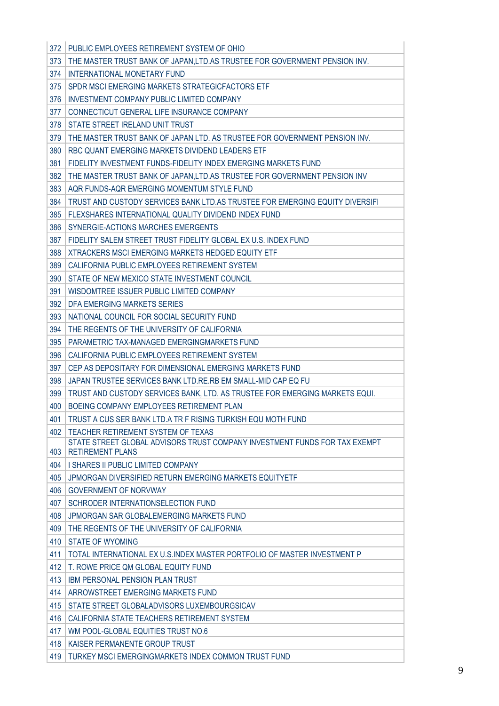| 372        | PUBLIC EMPLOYEES RETIREMENT SYSTEM OF OHIO                                                                      |
|------------|-----------------------------------------------------------------------------------------------------------------|
| 373        | THE MASTER TRUST BANK OF JAPAN, LTD. AS TRUSTEE FOR GOVERNMENT PENSION INV.                                     |
| 374        | <b>INTERNATIONAL MONETARY FUND</b>                                                                              |
| 375        | SPDR MSCLEMERGING MARKETS STRATEGICFACTORS ETF                                                                  |
| 376        | <b>INVESTMENT COMPANY PUBLIC LIMITED COMPANY</b>                                                                |
| 377        | CONNECTICUT GENERAL LIFE INSURANCE COMPANY                                                                      |
| 378        | STATE STREET IRELAND UNIT TRUST                                                                                 |
| 379        | THE MASTER TRUST BANK OF JAPAN LTD. AS TRUSTEE FOR GOVERNMENT PENSION INV.                                      |
| 380        | RBC QUANT EMERGING MARKETS DIVIDEND LEADERS ETF                                                                 |
| 381        | FIDELITY INVESTMENT FUNDS-FIDELITY INDEX EMERGING MARKETS FUND                                                  |
| 382        | THE MASTER TRUST BANK OF JAPAN, LTD.AS TRUSTEE FOR GOVERNMENT PENSION INV                                       |
| 383        | AQR FUNDS-AQR EMERGING MOMENTUM STYLE FUND                                                                      |
| 384        | TRUST AND CUSTODY SERVICES BANK LTD.AS TRUSTEE FOR EMERGING EQUITY DIVERSIFI                                    |
| 385        | FLEXSHARES INTERNATIONAL QUALITY DIVIDEND INDEX FUND                                                            |
| 386        | SYNERGIE-ACTIONS MARCHES EMERGENTS                                                                              |
| 387        | FIDELITY SALEM STREET TRUST FIDELITY GLOBAL EX U.S. INDEX FUND                                                  |
| 388        | XTRACKERS MSCI EMERGING MARKETS HEDGED EQUITY ETF                                                               |
| 389        | CALIFORNIA PUBLIC EMPLOYEES RETIREMENT SYSTEM                                                                   |
| 390        | STATE OF NEW MEXICO STATE INVESTMENT COUNCIL                                                                    |
| 391        | WISDOMTREE ISSUER PUBLIC LIMITED COMPANY                                                                        |
| 392        | DFA EMERGING MARKETS SERIES                                                                                     |
| 393        | NATIONAL COUNCIL FOR SOCIAL SECURITY FUND                                                                       |
| 394        | THE REGENTS OF THE UNIVERSITY OF CALIFORNIA                                                                     |
| 395        | PARAMETRIC TAX-MANAGED EMERGINGMARKETS FUND                                                                     |
| 396        | CALIFORNIA PUBLIC EMPLOYEES RETIREMENT SYSTEM                                                                   |
| 397        | CEP AS DEPOSITARY FOR DIMENSIONAL EMERGING MARKETS FUND                                                         |
| 398        | JAPAN TRUSTEE SERVICES BANK LTD.RE.RB EM SMALL-MID CAP EQ FU                                                    |
| 399        | TRUST AND CUSTODY SERVICES BANK, LTD. AS TRUSTEE FOR EMERGING MARKETS EQUI.                                     |
| 400        | BOEING COMPANY EMPLOYEES RETIREMENT PLAN                                                                        |
| 401        | TRUST A CUS SER BANK LTD.A TR F RISING TURKISH EQU MOTH FUND                                                    |
| 402        | TEACHER RETIREMENT SYSTEM OF TEXAS                                                                              |
|            | STATE STREET GLOBAL ADVISORS TRUST COMPANY INVESTMENT FUNDS FOR TAX EXEMPT                                      |
| 403        | <b>RETIREMENT PLANS</b>                                                                                         |
| 404        | I SHARES II PUBLIC LIMITED COMPANY                                                                              |
| 405        | JPMORGAN DIVERSIFIED RETURN EMERGING MARKETS EQUITYETF                                                          |
| 406<br>407 | <b>GOVERNMENT OF NORVWAY</b><br>SCHRODER INTERNATIONSELECTION FUND                                              |
| 408        | JPMORGAN SAR GLOBALEMERGING MARKETS FUND                                                                        |
| 409        | THE REGENTS OF THE UNIVERSITY OF CALIFORNIA                                                                     |
| 410        | <b>STATE OF WYOMING</b>                                                                                         |
| 411        |                                                                                                                 |
| 412        | TOTAL INTERNATIONAL EX U.S.INDEX MASTER PORTFOLIO OF MASTER INVESTMENT P<br>T. ROWE PRICE QM GLOBAL EQUITY FUND |
| 413        | <b>IBM PERSONAL PENSION PLAN TRUST</b>                                                                          |
| 414        | ARROWSTREET EMERGING MARKETS FUND                                                                               |
| 415        | STATE STREET GLOBALADVISORS LUXEMBOURGSICAV                                                                     |
|            | CALIFORNIA STATE TEACHERS RETIREMENT SYSTEM                                                                     |
| 416<br>417 | WM POOL-GLOBAL EQUITIES TRUST NO.6                                                                              |
| 418        | KAISER PERMANENTE GROUP TRUST                                                                                   |
| 419        | TURKEY MSCI EMERGINGMARKETS INDEX COMMON TRUST FUND                                                             |
|            |                                                                                                                 |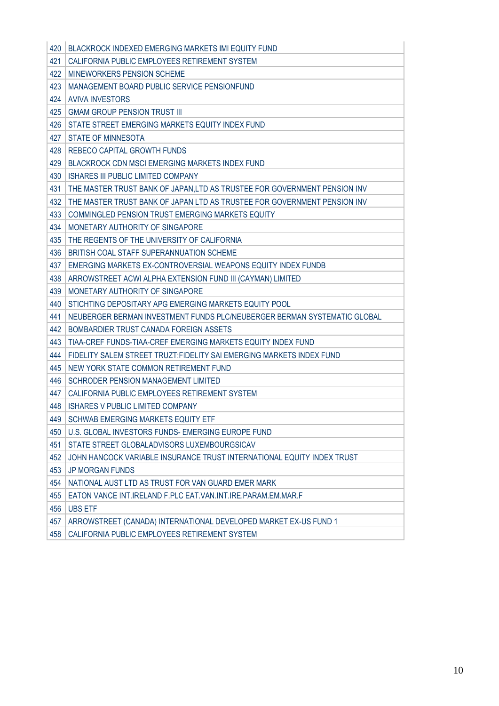| 420 | <b>BLACKROCK INDEXED EMERGING MARKETS IMI EQUITY FUND</b>                 |
|-----|---------------------------------------------------------------------------|
| 421 | CALIFORNIA PUBLIC EMPLOYEES RETIREMENT SYSTEM                             |
| 422 | <b>MINEWORKERS PENSION SCHEME</b>                                         |
| 423 | MANAGEMENT BOARD PUBLIC SERVICE PENSIONFUND                               |
| 424 | <b>AVIVA INVESTORS</b>                                                    |
| 425 | <b>GMAM GROUP PENSION TRUST III</b>                                       |
| 426 | STATE STREET EMERGING MARKETS EQUITY INDEX FUND                           |
| 427 | <b>STATE OF MINNESOTA</b>                                                 |
| 428 | <b>REBECO CAPITAL GROWTH FUNDS</b>                                        |
| 429 | <b>BLACKROCK CDN MSCI EMERGING MARKETS INDEX FUND</b>                     |
| 430 | ISHARES III PUBLIC LIMITED COMPANY                                        |
| 431 | THE MASTER TRUST BANK OF JAPAN, LTD AS TRUSTEE FOR GOVERNMENT PENSION INV |
| 432 | THE MASTER TRUST BANK OF JAPAN LTD AS TRUSTEE FOR GOVERNMENT PENSION INV  |
| 433 | COMMINGLED PENSION TRUST EMERGING MARKETS EQUITY                          |
| 434 | MONETARY AUTHORITY OF SINGAPORE                                           |
| 435 | THE REGENTS OF THE UNIVERSITY OF CALIFORNIA                               |
| 436 | BRITISH COAL STAFF SUPERANNUATION SCHEME                                  |
| 437 | EMERGING MARKETS EX-CONTROVERSIAL WEAPONS EQUITY INDEX FUNDB              |
| 438 | ARROWSTREET ACWI ALPHA EXTENSION FUND III (CAYMAN) LIMITED                |
| 439 | MONETARY AUTHORITY OF SINGAPORE                                           |
| 440 | STICHTING DEPOSITARY APG EMERGING MARKETS EQUITY POOL                     |
| 441 | NEUBERGER BERMAN INVESTMENT FUNDS PLC/NEUBERGER BERMAN SYSTEMATIC GLOBAL  |
| 442 | BOMBARDIER TRUST CANADA FOREIGN ASSETS                                    |
| 443 | TIAA-CREF FUNDS-TIAA-CREF EMERGING MARKETS EQUITY INDEX FUND              |
| 444 | FIDELITY SALEM STREET TRUZT: FIDELITY SAI EMERGING MARKETS INDEX FUND     |
| 445 | NEW YORK STATE COMMON RETIREMENT FUND                                     |
| 446 | SCHRODER PENSION MANAGEMENT LIMITED                                       |
| 447 | CALIFORNIA PUBLIC EMPLOYEES RETIREMENT SYSTEM                             |
| 448 | <b>ISHARES V PUBLIC LIMITED COMPANY</b>                                   |
| 449 | SCHWAB EMERGING MARKETS EQUITY ETF                                        |
| 450 | U.S. GLOBAL INVESTORS FUNDS- EMERGING EUROPE FUND                         |
| 451 | STATE STREET GLOBALADVISORS LUXEMBOURGSICAV                               |
| 452 | JOHN HANCOCK VARIABLE INSURANCE TRUST INTERNATIONAL EQUITY INDEX TRUST    |
| 453 | <b>JP MORGAN FUNDS</b>                                                    |
| 454 | NATIONAL AUST LTD AS TRUST FOR VAN GUARD EMER MARK                        |
| 455 | EATON VANCE INT.IRELAND F.PLC EAT.VAN.INT.IRE.PARAM.EM.MAR.F              |
| 456 | <b>UBS ETF</b>                                                            |
| 457 | ARROWSTREET (CANADA) INTERNATIONAL DEVELOPED MARKET EX-US FUND 1          |
| 458 | CALIFORNIA PUBLIC EMPLOYEES RETIREMENT SYSTEM                             |
|     |                                                                           |